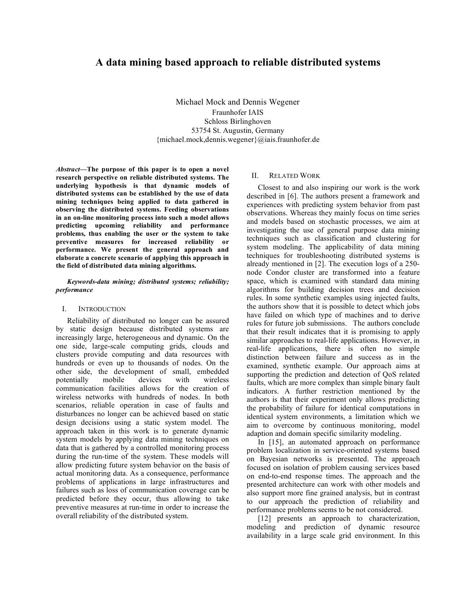# **A data mining based approach to reliable distributed systems**

Michael Mock and Dennis Wegener Fraunhofer IAIS Schloss Birlinghoven 53754 St. Augustin, Germany {michael.mock,dennis.wegener}@iais.fraunhofer.de

*Abstract***—The purpose of this paper is to open a novel research perspective on reliable distributed systems. The underlying hypothesis is that dynamic models of distributed systems can be established by the use of data mining techniques being applied to data gathered in observing the distributed systems. Feeding observations in an on-line monitoring process into such a model allows predicting upcoming reliability and performance problems, thus enabling the user or the system to take preventive measures for increased reliability or performance. We present the general approach and elaborate a concrete scenario of applying this approach in the field of distributed data mining algorithms.**

### *Keywords-data mining; distributed systems; reliability; performance*

#### I. INTRODUCTION

Reliability of distributed no longer can be assured by static design because distributed systems are increasingly large, heterogeneous and dynamic. On the one side, large-scale computing grids, clouds and clusters provide computing and data resources with hundreds or even up to thousands of nodes. On the other side, the development of small, embedded potentially mobile devices with wireless communication facilities allows for the creation of wireless networks with hundreds of nodes. In both scenarios, reliable operation in case of faults and disturbances no longer can be achieved based on static design decisions using a static system model. The approach taken in this work is to generate dynamic system models by applying data mining techniques on data that is gathered by a controlled monitoring process during the run-time of the system. These models will allow predicting future system behavior on the basis of actual monitoring data. As a consequence, performance problems of applications in large infrastructures and failures such as loss of communication coverage can be predicted before they occur, thus allowing to take preventive measures at run-time in order to increase the overall reliability of the distributed system.

## II. RELATED WORK

Closest to and also inspiring our work is the work described in [6]. The authors present a framework and experiences with predicting system behavior from past observations. Whereas they mainly focus on time series and models based on stochastic processes, we aim at investigating the use of general purpose data mining techniques such as classification and clustering for system modeling. The applicability of data mining techniques for troubleshooting distributed systems is already mentioned in [2]. The execution logs of a 250 node Condor cluster are transformed into a feature space, which is examined with standard data mining algorithms for building decision trees and decision rules. In some synthetic examples using injected faults, the authors show that it is possible to detect which jobs have failed on which type of machines and to derive rules for future job submissions. The authors conclude that their result indicates that it is promising to apply similar approaches to real-life applications. However, in real-life applications, there is often no simple distinction between failure and success as in the examined, synthetic example. Our approach aims at supporting the prediction and detection of QoS related faults, which are more complex than simple binary fault indicators. A further restriction mentioned by the authors is that their experiment only allows predicting the probability of failure for identical computations in identical system environments, a limitation which we aim to overcome by continuous monitoring, model adaption and domain specific similarity modeling.

In [15], an automated approach on performance problem localization in service-oriented systems based on Bayesian networks is presented. The approach focused on isolation of problem causing services based on end-to-end response times. The approach and the presented architecture can work with other models and also support more fine grained analysis, but in contrast to our approach the prediction of reliability and performance problems seems to be not considered.

[12] presents an approach to characterization, modeling and prediction of dynamic resource availability in a large scale grid environment. In this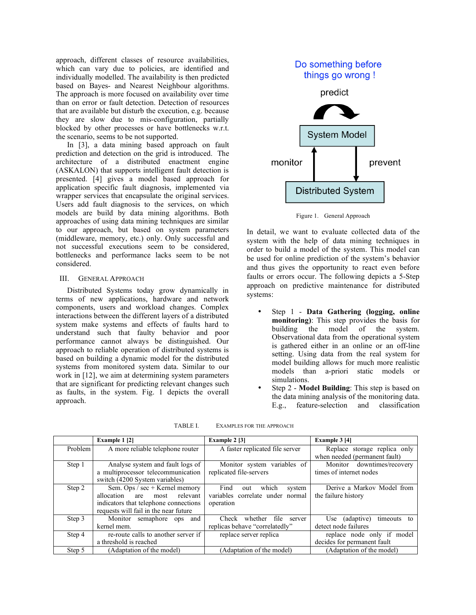approach, different classes of resource availabilities, which can vary due to policies, are identified and individually modelled. The availability is then predicted based on Bayes- and Nearest Neighbour algorithms. The approach is more focused on availability over time than on error or fault detection. Detection of resources that are available but disturb the execution, e.g. because they are slow due to mis-configuration, partially blocked by other processes or have bottlenecks w.r.t. the scenario, seems to be not supported.

In [3], a data mining based approach on fault prediction and detection on the grid is introduced. The architecture of a distributed enactment engine (ASKALON) that supports intelligent fault detection is presented. [4] gives a model based approach for application specific fault diagnosis, implemented via wrapper services that encapsulate the original services. Users add fault diagnosis to the services, on which models are build by data mining algorithms. Both approaches of using data mining techniques are similar to our approach, but based on system parameters (middleware, memory, etc.) only. Only successful and not successful executions seem to be considered, bottlenecks and performance lacks seem to be not considered.

## III. GENERAL APPROACH

Distributed Systems today grow dynamically in terms of new applications, hardware and network components, users and workload changes. Complex interactions between the different layers of a distributed system make systems and effects of faults hard to understand such that faulty behavior and poor performance cannot always be distinguished. Our approach to reliable operation of distributed systems is based on building a dynamic model for the distributed systems from monitored system data. Similar to our work in [12], we aim at determining system parameters that are significant for predicting relevant changes such as faults, in the system. Fig. 1 depicts the overall approach.



In detail, we want to evaluate collected data of the system with the help of data mining techniques in order to build a model of the system. This model can be used for online prediction of the system's behavior and thus gives the opportunity to react even before faults or errors occur. The following depicts a 5-Step approach on predictive maintenance for distributed systems:

- Step 1 **Data Gathering (logging, online monitoring**): This step provides the basis for building the model of the system. the model of the system. Observational data from the operational system is gathered either in an online or an off-line setting. Using data from the real system for model building allows for much more realistic models than a-priori static models or simulations.
- Step 2 **Model Building**: This step is based on the data mining analysis of the monitoring data. E.g., feature-selection and classification

|         | Example 1 [2]                         | Example 2 [3]                    | Example 3 [4]                    |
|---------|---------------------------------------|----------------------------------|----------------------------------|
| Problem | A more reliable telephone router      | A faster replicated file server  | Replace storage replica only     |
|         |                                       |                                  | when needed (permanent fault)    |
| Step 1  | Analyse system and fault logs of      | Monitor system variables of      | Monitor downtimes/recovery       |
|         | a multiprocessor telecommunication    | replicated file-servers          | times of internet nodes          |
|         | switch (4200 System variables)        |                                  |                                  |
| Step 2  | Sem. Ops / sec + Kernel memory        | Find<br>which<br>system<br>out   | Derive a Markov Model from       |
|         | allocation<br>relevant<br>most<br>are | variables correlate under normal | the failure history              |
|         | indicators that telephone connections | operation                        |                                  |
|         | requests will fail in the near future |                                  |                                  |
| Step 3  | Monitor semaphore<br>ops and          | Check whether file<br>server     | (adaptive)<br>timeouts to<br>Use |
|         | kernel mem.                           | replicas behave "correlatedly"   | detect node failures             |
| Step 4  | re-route calls to another server if   | replace server replica           | replace node only if model       |
|         | a threshold is reached                |                                  | decides for permanent fault      |
| Step 5  | (Adaptation of the model)             | (Adaptation of the model)        | (Adaptation of the model)        |

TABLE I. EXAMPLES FOR THE APPROACH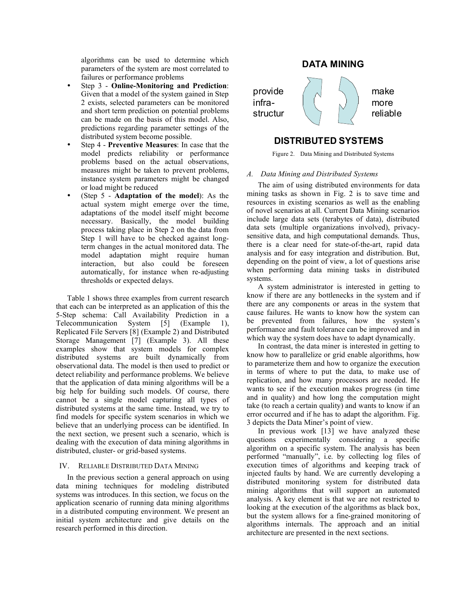Distributed environments are needed for novel scenarios

algorithms can be used to determine which parameters of the system are most correlated to failures or performance problems

- Step 3 **Online-Monitoring and Prediction**: Given that a model of the system gained in Step 2 exists, selected parameters can be monitored and short term prediction on potential problems can be made on the basis of this model. Also, predictions regarding parameter settings of the distributed system become possible.
- Step 4 **Preventive Measures**: In case that the model predicts reliability or performance problems based on the actual observations, measures might be taken to prevent problems, instance system parameters might be changed or load might be reduced
- (Step 5 **Adaptation of the model**): As the actual system might emerge over the time, adaptations of the model itself might become necessary. Basically, the model building process taking place in Step 2 on the data from Step 1 will have to be checked against longterm changes in the actual monitored data. The model adaptation might require human interaction, but also could be foreseen automatically, for instance when re-adjusting thresholds or expected delays.

Table 1 shows three examples from current research that each can be interpreted as an application of this the 5-Step schema: Call Availability Prediction in a Telecommunication System [5] (Example 1), Replicated File Servers [8] (Example 2) and Distributed Storage Management [7] (Example 3). All these examples show that system models for complex distributed systems are built dynamically from observational data. The model is then used to predict or detect reliability and performance problems. We believe that the application of data mining algorithms will be a big help for building such models. Of course, there cannot be a single model capturing all types of distributed systems at the same time. Instead, we try to find models for specific system scenarios in which we believe that an underlying process can be identified. In the next section, we present such a scenario, which is dealing with the execution of data mining algorithms in distributed, cluster- or grid-based systems.

### IV. RELIABLE DISTRIBUTED DATA MINING

In the previous section a general approach on using data mining techniques for modeling distributed systems was introduces. In this section, we focus on the application scenario of running data mining algorithms in a distributed computing environment. We present an initial system architecture and give details on the research performed in this direction.

# **DATA MINING**



# **DISTRIBUTED SYSTEMS**

Reliable operation can not be Figure 2. Data Mining and Distributed Systems

# $\it A.$  *Data Muning stati Dalhybata Osysien*s time

The aim of using distributed environments for data mining tasks as shown in Fig. 2 is to save time and resources in existing scenarios as well as the enabling of novel scenarios at all. Current Data Mining scenarios include large data sets (terabytes of data), distributed data sets (multiple organizations involved), privacysensitive data, and high computational demands. Thus, there is a clear need for state-of-the-art, rapid data analysis and for easy integration and distribution. But, depending on the point of view, a lot of questions arise when performing data mining tasks in distributed systems.

A system administrator is interested in getting to know if there are any bottlenecks in the system and if there are any components or areas in the system that cause failures. He wants to know how the system can be prevented from failures, how the system's performance and fault tolerance can be improved and in which way the system does have to adapt dynamically.

In contrast, the data miner is interested in getting to know how to parallelize or grid enable algorithms, how to parameterize them and how to organize the execution in terms of where to put the data, to make use of replication, and how many processors are needed. He wants to see if the execution makes progress (in time and in quality) and how long the computation might take (to reach a certain quality) and wants to know if an error occurred and if he has to adapt the algorithm. Fig. 3 depicts the Data Miner's point of view.

In previous work  $[13]$  we have analyzed these questions experimentally considering a specific algorithm on a specific system. The analysis has been performed "manually", i.e. by collecting log files of execution times of algorithms and keeping track of injected faults by hand. We are currently developing a distributed monitoring system for distributed data mining algorithms that will support an automated analysis. A key element is that we are not restricted to looking at the execution of the algorithms as black box, but the system allows for a fine-grained monitoring of algorithms internals. The approach and an initial architecture are presented in the next sections.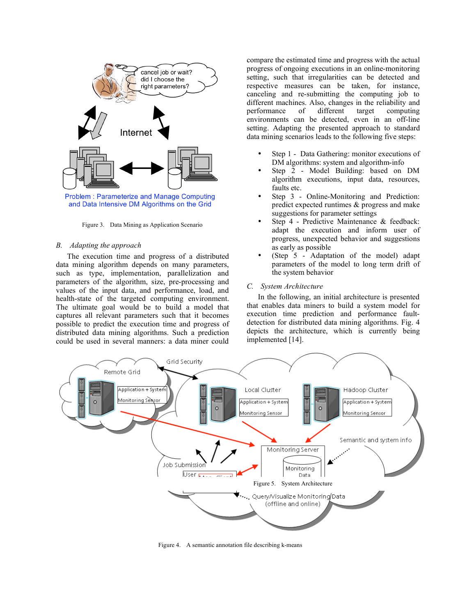

and Data Intensive DM Algorithms on the Grid

Figure 3. Data Mining as Application Scenario

#### *B. Adapting the approach*

The execution time and progress of a distributed data mining algorithm depends on many parameters, such as type, implementation, parallelization and parameters of the algorithm, size, pre-processing and values of the input data, and performance, load, and health-state of the targeted computing environment. The ultimate goal would be to build a model that captures all relevant parameters such that it becomes possible to predict the execution time and progress of distributed data mining algorithms. Such a prediction could be used in several manners: a data miner could

compare the estimated time and progress with the actual progress of ongoing executions in an online-monitoring setting, such that irregularities can be detected and respective measures can be taken, for instance, canceling and re-submitting the computing job to different machines. Also, changes in the reliability and performance of different target computing performance of different target computing environments can be detected, even in an off-line setting. Adapting the presented approach to standard data mining scenarios leads to the following five steps:

- Step 1 Data Gathering: monitor executions of DM algorithms: system and algorithm-info
- Step 2 Model Building: based on DM algorithm executions, input data, resources, faults etc.
- Step 3 Online-Monitoring and Prediction: predict expected runtimes & progress and make suggestions for parameter settings
- Step 4 Predictive Maintenance & feedback: adapt the execution and inform user of progress, unexpected behavior and suggestions as early as possible
- (Step 5 Adaptation of the model) adapt parameters of the model to long term drift of the system behavior

## *C. System Architecture*

In the following, an initial architecture is presented that enables data miners to build a system model for execution time prediction and performance faultdetection for distributed data mining algorithms. Fig. 4 depicts the architecture, which is currently being implemented [14].



Figure 4. A semantic annotation file describing k-means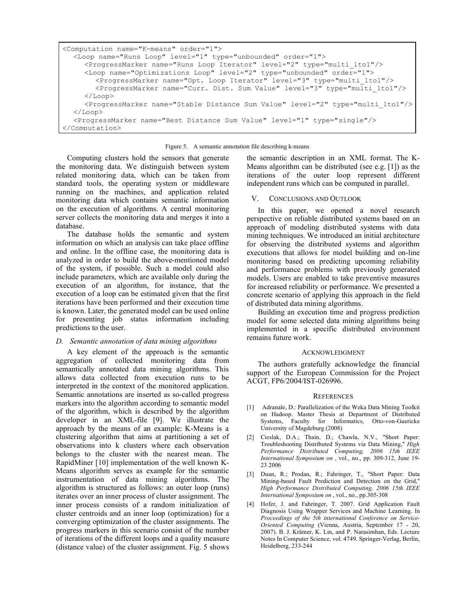```
<Computation name="K-means" order="1">
  <Loop name="Runs Loop" level="1" type="unbounded" order="1">
     <ProgressMarker name="Runs Loop Iterator" level="2" type="multi_1to1"/>
     <Loop name="Optimizations Loop" level="2" type="unbounded" order="1">
       <ProgressMarker name="Opt. Loop Iterator" level="3" type="multi_1to1"/>
       <ProgressMarker name="Curr. Dist. Sum Value" level="3" type="multi_1to1"/>
     \langleLoop\rangle<ProgressMarker name="Stable Distance Sum Value" level="2" type="multi_1to1"/>
  </Loop>
  <ProgressMarker name="Best Distance Sum Value" level="1" type="single"/>
</Computation>
```
#### Figure 5. A semantic annotation file describing k-means

Computing clusters hold the sensors that generate the monitoring data. We distinguish between system related monitoring data, which can be taken from standard tools, the operating system or middleware running on the machines, and application related monitoring data which contains semantic information on the execution of algorithms. A central monitoring server collects the monitoring data and merges it into a database.

The database holds the semantic and system information on which an analysis can take place offline and online. In the offline case, the monitoring data is analyzed in order to build the above-mentioned model of the system, if possible. Such a model could also include parameters, which are available only during the execution of an algorithm, for instance, that the execution of a loop can be estimated given that the first iterations have been performed and their execution time is known. Later, the generated model can be used online for presenting job status information including predictions to the user.

## *D. Semantic annotation of data mining algorithms*

A key element of the approach is the semantic aggregation of collected monitoring data from semantically annotated data mining algorithms. This allows data collected from execution runs to be interpreted in the context of the monitored application. Semantic annotations are inserted as so-called progress markers into the algorithm according to semantic model of the algorithm, which is described by the algorithm developer in an XML-file [9]. We illustrate the approach by the means of an example: K-Means is a clustering algorithm that aims at partitioning a set of observations into k clusters where each observation belongs to the cluster with the nearest mean. The RapidMiner [10] implementation of the well known K-Means algorithm serves as example for the semantic instrumentation of data mining algorithms. The algorithm is structured as follows: an outer loop (runs) iterates over an inner process of cluster assignment. The inner process consists of a random initialization of cluster centroids and an inner loop (optimization) for a converging optimization of the cluster assignments. The progress markers in this scenario consist of the number of iterations of the different loops and a quality measure (distance value) of the cluster assignment. Fig. 5 shows

the semantic description in an XML format. The K-Means algorithm can be distributed (see e.g. [1]) as the iterations of the outer loop represent different independent runs which can be computed in parallel.

## V. CONCLUSIONS AND OUTLOOK

In this paper, we opened a novel research perspective on reliable distributed systems based on an approach of modeling distributed systems with data mining techniques. We introduced an initial architecture for observing the distributed systems and algorithm executions that allows for model building and on-line monitoring based on predicting upcoming reliability and performance problems with previously generated models. Users are enabled to take preventive measures for increased reliability or performance. We presented a concrete scenario of applying this approach in the field of distributed data mining algorithms.

Building an execution time and progress prediction model for some selected data mining algorithms being implemented in a specific distributed environment remains future work.

### ACKNOWLEDGMENT

The authors gratefully acknowledge the financial support of the European Commission for the Project ACGT, FP6/2004/IST-026996.

### **REFERENCES**

- [1] Adranale, D.: Parallelization of the Weka Data Mining Toolkit on Hadoop. Master Thesis at Department of Distributed Systems, Faculty for Informatics, Otto-von-Guericke University of Magdeburg (2008)
- [2] Cieslak, D.A.; Thain, D.; Chawla, N.V., "Short Paper: Troubleshooting Distributed Systems via Data Mining," *High Performance Distributed Computing, 2006 15th IEEE International Symposium on* , vol., no., pp. 309-312, June 19- 23 2006
- [3] Duan, R.; Prodan, R.; Fahringer, T., "Short Paper: Data Mining-based Fault Prediction and Detection on the Grid," *High Performance Distributed Computing, 2006 15th IEEE International Symposium on* , vol., no., pp.305-308
- [4] Hofer, J. and Fahringer, T. 2007. Grid Application Fault Diagnosis Using Wrapper Services and Machine Learning. In *Proceedings of the 5th international Conference on Service-Oriented Computing* (Vienna, Austria, September 17 - 20, 2007). B. J. Krämer, K. Lin, and P. Narasimhan, Eds. Lecture Notes In Computer Science, vol. 4749. Springer-Verlag, Berlin, Heidelberg, 233-244